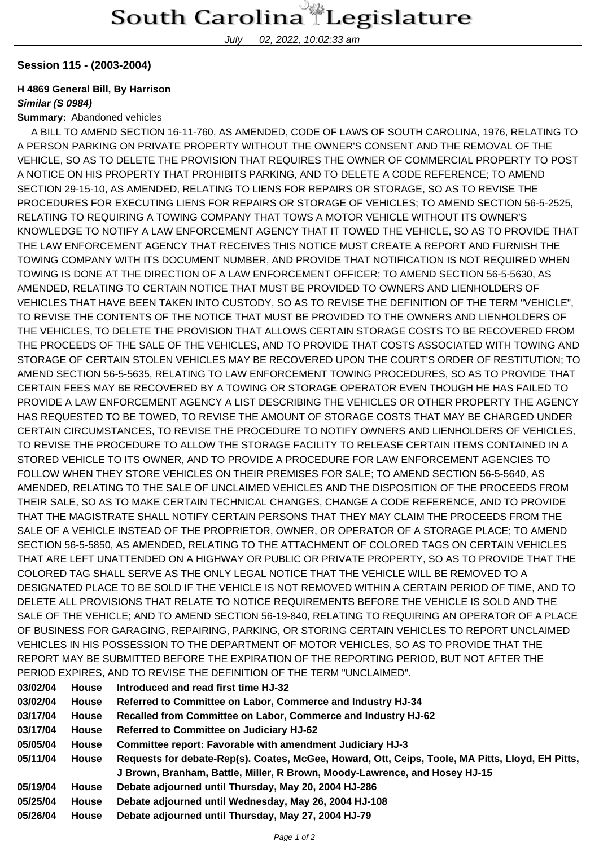July 02, 2022, 10:02:33 am

### **Session 115 - (2003-2004)**

## **H 4869 General Bill, By Harrison**

#### **Similar (S 0984)**

#### **Summary:** Abandoned vehicles

 A BILL TO AMEND SECTION 16-11-760, AS AMENDED, CODE OF LAWS OF SOUTH CAROLINA, 1976, RELATING TO A PERSON PARKING ON PRIVATE PROPERTY WITHOUT THE OWNER'S CONSENT AND THE REMOVAL OF THE VEHICLE, SO AS TO DELETE THE PROVISION THAT REQUIRES THE OWNER OF COMMERCIAL PROPERTY TO POST A NOTICE ON HIS PROPERTY THAT PROHIBITS PARKING, AND TO DELETE A CODE REFERENCE; TO AMEND SECTION 29-15-10, AS AMENDED, RELATING TO LIENS FOR REPAIRS OR STORAGE, SO AS TO REVISE THE PROCEDURES FOR EXECUTING LIENS FOR REPAIRS OR STORAGE OF VEHICLES; TO AMEND SECTION 56-5-2525, RELATING TO REQUIRING A TOWING COMPANY THAT TOWS A MOTOR VEHICLE WITHOUT ITS OWNER'S KNOWLEDGE TO NOTIFY A LAW ENFORCEMENT AGENCY THAT IT TOWED THE VEHICLE, SO AS TO PROVIDE THAT THE LAW ENFORCEMENT AGENCY THAT RECEIVES THIS NOTICE MUST CREATE A REPORT AND FURNISH THE TOWING COMPANY WITH ITS DOCUMENT NUMBER, AND PROVIDE THAT NOTIFICATION IS NOT REQUIRED WHEN TOWING IS DONE AT THE DIRECTION OF A LAW ENFORCEMENT OFFICER; TO AMEND SECTION 56-5-5630, AS AMENDED, RELATING TO CERTAIN NOTICE THAT MUST BE PROVIDED TO OWNERS AND LIENHOLDERS OF VEHICLES THAT HAVE BEEN TAKEN INTO CUSTODY, SO AS TO REVISE THE DEFINITION OF THE TERM "VEHICLE", TO REVISE THE CONTENTS OF THE NOTICE THAT MUST BE PROVIDED TO THE OWNERS AND LIENHOLDERS OF THE VEHICLES, TO DELETE THE PROVISION THAT ALLOWS CERTAIN STORAGE COSTS TO BE RECOVERED FROM THE PROCEEDS OF THE SALE OF THE VEHICLES, AND TO PROVIDE THAT COSTS ASSOCIATED WITH TOWING AND STORAGE OF CERTAIN STOLEN VEHICLES MAY BE RECOVERED UPON THE COURT'S ORDER OF RESTITUTION; TO AMEND SECTION 56-5-5635, RELATING TO LAW ENFORCEMENT TOWING PROCEDURES, SO AS TO PROVIDE THAT CERTAIN FEES MAY BE RECOVERED BY A TOWING OR STORAGE OPERATOR EVEN THOUGH HE HAS FAILED TO PROVIDE A LAW ENFORCEMENT AGENCY A LIST DESCRIBING THE VEHICLES OR OTHER PROPERTY THE AGENCY HAS REQUESTED TO BE TOWED, TO REVISE THE AMOUNT OF STORAGE COSTS THAT MAY BE CHARGED UNDER CERTAIN CIRCUMSTANCES, TO REVISE THE PROCEDURE TO NOTIFY OWNERS AND LIENHOLDERS OF VEHICLES, TO REVISE THE PROCEDURE TO ALLOW THE STORAGE FACILITY TO RELEASE CERTAIN ITEMS CONTAINED IN A STORED VEHICLE TO ITS OWNER, AND TO PROVIDE A PROCEDURE FOR LAW ENFORCEMENT AGENCIES TO FOLLOW WHEN THEY STORE VEHICLES ON THEIR PREMISES FOR SALE; TO AMEND SECTION 56-5-5640, AS AMENDED, RELATING TO THE SALE OF UNCLAIMED VEHICLES AND THE DISPOSITION OF THE PROCEEDS FROM THEIR SALE, SO AS TO MAKE CERTAIN TECHNICAL CHANGES, CHANGE A CODE REFERENCE, AND TO PROVIDE THAT THE MAGISTRATE SHALL NOTIFY CERTAIN PERSONS THAT THEY MAY CLAIM THE PROCEEDS FROM THE SALE OF A VEHICLE INSTEAD OF THE PROPRIETOR, OWNER, OR OPERATOR OF A STORAGE PLACE; TO AMEND SECTION 56-5-5850, AS AMENDED, RELATING TO THE ATTACHMENT OF COLORED TAGS ON CERTAIN VEHICLES THAT ARE LEFT UNATTENDED ON A HIGHWAY OR PUBLIC OR PRIVATE PROPERTY, SO AS TO PROVIDE THAT THE COLORED TAG SHALL SERVE AS THE ONLY LEGAL NOTICE THAT THE VEHICLE WILL BE REMOVED TO A DESIGNATED PLACE TO BE SOLD IF THE VEHICLE IS NOT REMOVED WITHIN A CERTAIN PERIOD OF TIME, AND TO DELETE ALL PROVISIONS THAT RELATE TO NOTICE REQUIREMENTS BEFORE THE VEHICLE IS SOLD AND THE SALE OF THE VEHICLE; AND TO AMEND SECTION 56-19-840, RELATING TO REQUIRING AN OPERATOR OF A PLACE OF BUSINESS FOR GARAGING, REPAIRING, PARKING, OR STORING CERTAIN VEHICLES TO REPORT UNCLAIMED VEHICLES IN HIS POSSESSION TO THE DEPARTMENT OF MOTOR VEHICLES, SO AS TO PROVIDE THAT THE REPORT MAY BE SUBMITTED BEFORE THE EXPIRATION OF THE REPORTING PERIOD, BUT NOT AFTER THE PERIOD EXPIRES, AND TO REVISE THE DEFINITION OF THE TERM "UNCLAIMED".

| 03/02/04 | <b>House</b> | Introduced and read first time HJ-32                                                             |  |
|----------|--------------|--------------------------------------------------------------------------------------------------|--|
| 03/02/04 | House        | Referred to Committee on Labor, Commerce and Industry HJ-34                                      |  |
| 03/17/04 | House        | Recalled from Committee on Labor, Commerce and Industry HJ-62                                    |  |
| 03/17/04 | House        | Referred to Committee on Judiciary HJ-62                                                         |  |
| 05/05/04 | House        | <b>Committee report: Favorable with amendment Judiciary HJ-3</b>                                 |  |
| 05/11/04 | House        | Requests for debate-Rep(s). Coates, McGee, Howard, Ott, Ceips, Toole, MA Pitts, Lloyd, EH Pitts, |  |
|          |              | J Brown, Branham, Battle, Miller, R Brown, Moody-Lawrence, and Hosey HJ-15                       |  |
| 05/19/04 | House        | Debate adjourned until Thursday, May 20, 2004 HJ-286                                             |  |
| 05/25/04 | <b>House</b> | Debate adjourned until Wednesday, May 26, 2004 HJ-108                                            |  |
| 05/26/04 | <b>House</b> | Debate adjourned until Thursday, May 27, 2004 HJ-79                                              |  |
|          |              |                                                                                                  |  |